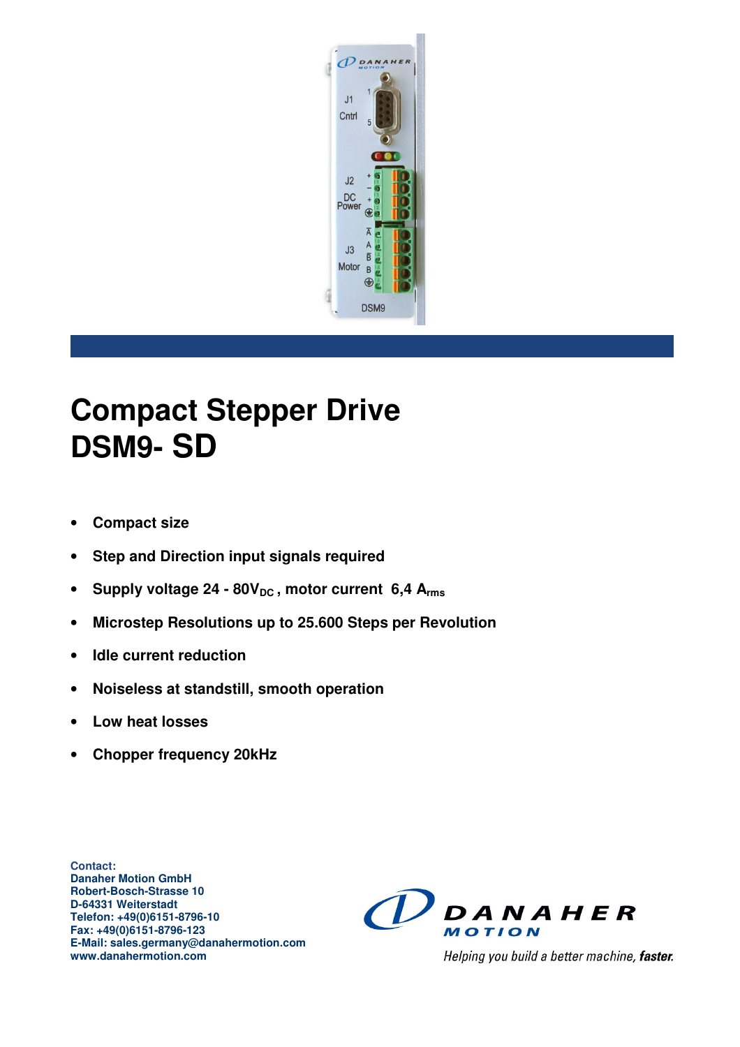

# **Compact Stepper Drive DSM9- SD**

- **Compact size**
- **Step and Direction input signals required**
- Supply voltage 24 80V<sub>DC</sub>, motor current 6,4 A<sub>rms</sub>
- **Microstep Resolutions up to 25.600 Steps per Revolution**
- **Idle current reduction**
- **Noiseless at standstill, smooth operation**
- **Low heat losses**
- **Chopper frequency 20kHz**

**Contact: Danaher Motion GmbH Robert-Bosch-Strasse 10 D-64331 Weiterstadt Telefon: +49(0)6151-8796-10 Fax: +49(0)6151-8796-123 E-Mail: sales.germany@danahermotion.com www.danahermotion.com** 



Helping you build a better machine, faster.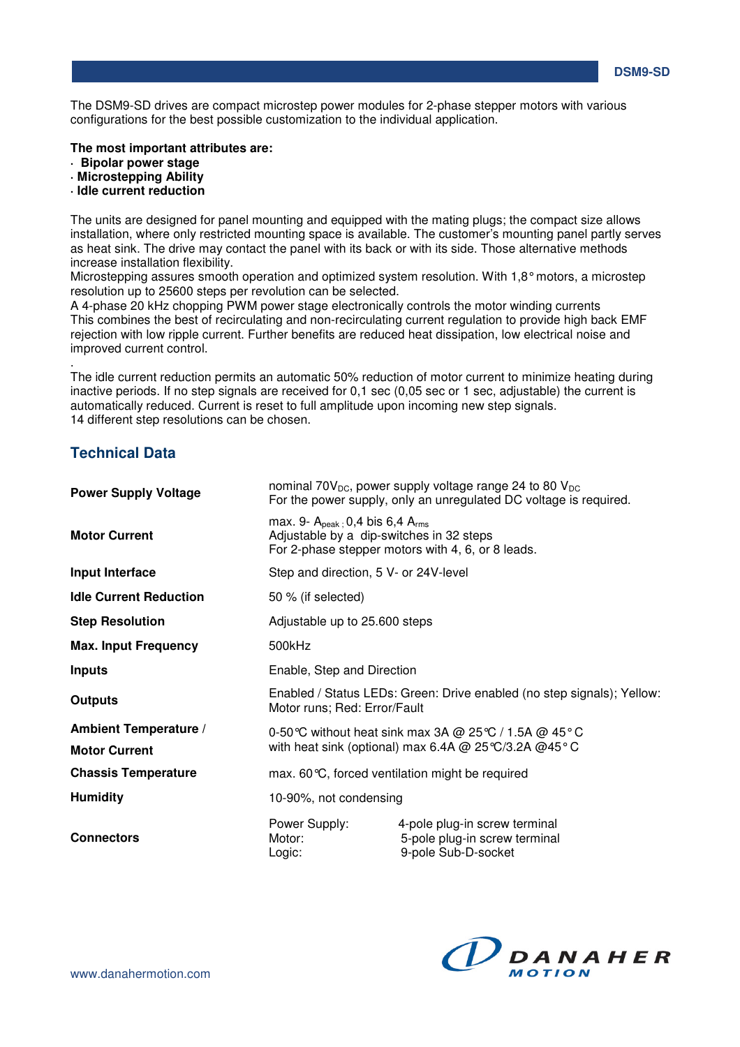**DSM9-SD** 

The DSM9-SD drives are compact microstep power modules for 2-phase stepper motors with various configurations for the best possible customization to the individual application.

**The most important attributes are:** 

- **· Bipolar power stage**
- **· Microstepping Ability**
- **· Idle current reduction**

The units are designed for panel mounting and equipped with the mating plugs; the compact size allows installation, where only restricted mounting space is available. The customer's mounting panel partly serves as heat sink. The drive may contact the panel with its back or with its side. Those alternative methods increase installation flexibility.

Microstepping assures smooth operation and optimized system resolution. With 1,8° motors, a microstep resolution up to 25600 steps per revolution can be selected.

A 4-phase 20 kHz chopping PWM power stage electronically controls the motor winding currents This combines the best of recirculating and non-recirculating current regulation to provide high back EMF rejection with low ripple current. Further benefits are reduced heat dissipation, low electrical noise and improved current control.

The idle current reduction permits an automatic 50% reduction of motor current to minimize heating during inactive periods. If no step signals are received for 0.1 sec (0.05 sec or 1 sec, adjustable) the current is automatically reduced. Current is reset to full amplitude upon incoming new step signals. 14 different step resolutions can be chosen.

#### **Technical Data**

.

| <b>Power Supply Voltage</b>   | nominal 70 $V_{DC}$ , power supply voltage range 24 to 80 $V_{DC}$<br>For the power supply, only an unregulated DC voltage is required.     |                                                                                       |  |
|-------------------------------|---------------------------------------------------------------------------------------------------------------------------------------------|---------------------------------------------------------------------------------------|--|
| <b>Motor Current</b>          | max. 9- $A_{peak}$ : 0,4 bis 6,4 $A_{rms}$<br>Adjustable by a dip-switches in 32 steps<br>For 2-phase stepper motors with 4, 6, or 8 leads. |                                                                                       |  |
| Input Interface               | Step and direction, 5 V- or 24V-level                                                                                                       |                                                                                       |  |
| <b>Idle Current Reduction</b> | 50 % (if selected)                                                                                                                          |                                                                                       |  |
| <b>Step Resolution</b>        | Adjustable up to 25.600 steps                                                                                                               |                                                                                       |  |
| <b>Max. Input Frequency</b>   | 500kHz                                                                                                                                      |                                                                                       |  |
| <b>Inputs</b>                 | Enable, Step and Direction                                                                                                                  |                                                                                       |  |
| <b>Outputs</b>                | Enabled / Status LEDs: Green: Drive enabled (no step signals); Yellow:<br>Motor runs; Red: Error/Fault                                      |                                                                                       |  |
| <b>Ambient Temperature /</b>  | 0-50 °C without heat sink max 3A @ 25 °C / 1.5A @ 45 °C                                                                                     |                                                                                       |  |
| <b>Motor Current</b>          | with heat sink (optional) max 6.4A @ 25 °C/3.2A @ 45 °C                                                                                     |                                                                                       |  |
| <b>Chassis Temperature</b>    | max. 60 °C, forced ventilation might be required                                                                                            |                                                                                       |  |
| <b>Humidity</b>               | 10-90%, not condensing                                                                                                                      |                                                                                       |  |
| <b>Connectors</b>             | Power Supply:<br>Motor:<br>Logic:                                                                                                           | 4-pole plug-in screw terminal<br>5-pole plug-in screw terminal<br>9-pole Sub-D-socket |  |